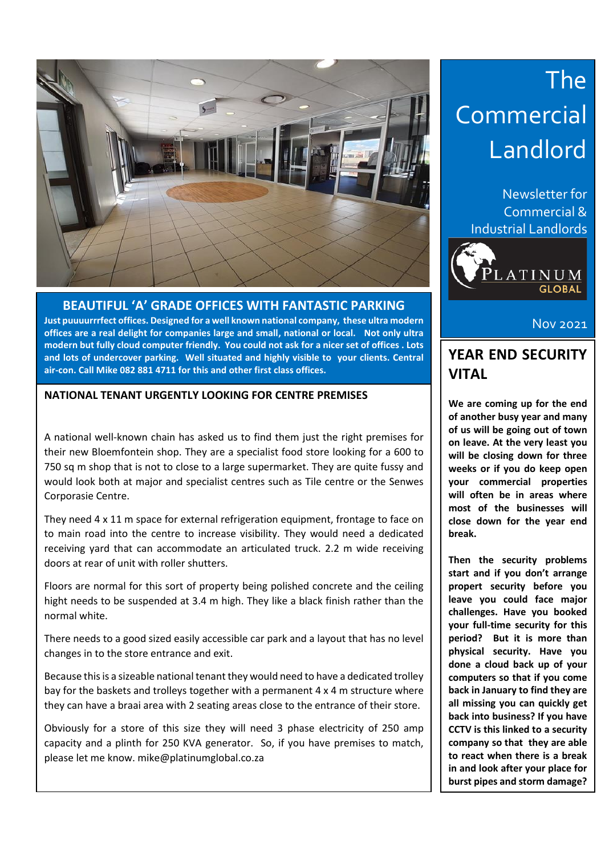

**BEAUTIFUL 'A' GRADE OFFICES WITH FANTASTIC PARKING Just puuuurrrfect offices. Designed for a well known national company, these ultra modern offices are a real delight for companies large and small, national or local. Not only ultra modern but fully cloud computer friendly. You could not ask for a nicer set of offices . Lots and lots of undercover parking. Well situated and highly visible to your clients. Central air-con. Call Mike 082 881 4711 for this and other first class offices.**

#### **NATIONAL TENANT URGENTLY LOOKING FOR CENTRE PREMISES**

A national well-known chain has asked us to find them just the right premises for their new Bloemfontein shop. They are a specialist food store looking for a 600 to 750 sq m shop that is not to close to a large supermarket. They are quite fussy and would look both at major and specialist centres such as Tile centre or the Senwes Corporasie Centre.

They need 4 x 11 m space for external refrigeration equipment, frontage to face on to main road into the centre to increase visibility. They would need a dedicated receiving yard that can accommodate an articulated truck. 2.2 m wide receiving doors at rear of unit with roller shutters.

Floors are normal for this sort of property being polished concrete and the ceiling hight needs to be suspended at 3.4 m high. They like a black finish rather than the normal white.

There needs to a good sized easily accessible car park and a layout that has no level changes in to the store entrance and exit.

Because this is a sizeable national tenant they would need to have a dedicated trolley bay for the baskets and trolleys together with a permanent 4 x 4 m structure where they can have a braai area with 2 seating areas close to the entrance of their store.

Obviously for a store of this size they will need 3 phase electricity of 250 amp capacity and a plinth for 250 KVA generator. So, if you have premises to match, please let me know. mike@platinumglobal.co.za

## The Commercial Landlord

Newsletter for Commercial & Industrial Landlords



Nov 2021

### **YEAR END SECURITY VITAL**

**We are coming up for the end of another busy year and many of us will be going out of town on leave. At the very least you will be closing down for three weeks or if you do keep open your commercial properties will often be in areas where most of the businesses will close down for the year end break.** 

**Then the security problems start and if you don't arrange propert security before you leave you could face major challenges. Have you booked your full-time security for this period? But it is more than physical security. Have you done a cloud back up of your computers so that if you come back in January to find they are all missing you can quickly get back into business? If you have CCTV is this linked to a security company so that they are able to react when there is a break in and look after your place for burst pipes and storm damage?**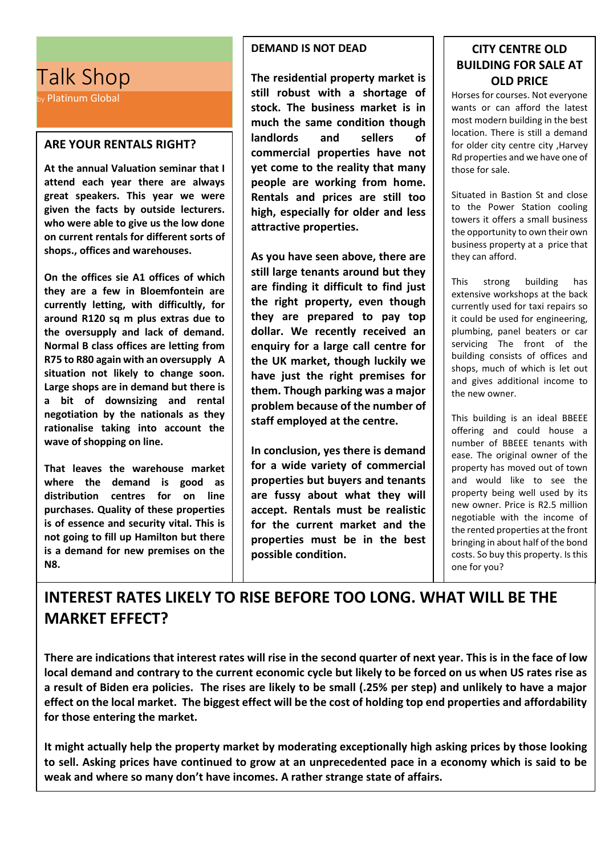## Talk Shop

by Platinum Global

#### **ARE YOUR RENTALS RIGHT?**

**At the annual Valuation seminar that I attend each year there are always great speakers. This year we were given the facts by outside lecturers. who were able to give us the low done on current rentals for different sorts of shops., offices and warehouses.**

**On the offices sie A1 offices of which they are a few in Bloemfontein are currently letting, with difficultly, for around R120 sq m plus extras due to the oversupply and lack of demand. Normal B class offices are letting from R75 to R80 again with an oversupply A situation not likely to change soon. Large shops are in demand but there is a bit of downsizing and rental negotiation by the nationals as they rationalise taking into account the wave of shopping on line.** 

**That leaves the warehouse market where the demand is good as distribution centres for on line purchases. Quality of these properties is of essence and security vital. This is not going to fill up Hamilton but there is a demand for new premises on the N8.**

#### **DEMAND IS NOT DEAD**

**The residential property market is still robust with a shortage of stock. The business market is in much the same condition though landlords and sellers of commercial properties have not yet come to the reality that many people are working from home. Rentals and prices are still too high, especially for older and less attractive properties.** 

**As you have seen above, there are still large tenants around but they are finding it difficult to find just the right property, even though they are prepared to pay top dollar. We recently received an enquiry for a large call centre for the UK market, though luckily we have just the right premises for them. Though parking was a major problem because of the number of staff employed at the centre.** 

**In conclusion, yes there is demand for a wide variety of commercial properties but buyers and tenants are fussy about what they will accept. Rentals must be realistic for the current market and the properties must be in the best possible condition.**

#### **CITY CENTRE OLD BUILDING FOR SALE AT OLD PRICE**

Horses for courses. Not everyone wants or can afford the latest most modern building in the best location. There is still a demand for older city centre city ,Harvey Rd properties and we have one of those for sale.

Situated in Bastion St and close to the Power Station cooling towers it offers a small business the opportunity to own their own business property at a price that they can afford.

This strong building has extensive workshops at the back currently used for taxi repairs so it could be used for engineering, plumbing, panel beaters or car servicing The front of the building consists of offices and shops, much of which is let out and gives additional income to the new owner.

This building is an ideal BBEEE offering and could house a number of BBEEE tenants with ease. The original owner of the property has moved out of town and would like to see the property being well used by its new owner. Price is R2.5 million negotiable with the income of the rented properties at the front bringing in about half of the bond costs. So buy this property. Is this one for you?

## **INTEREST RATES LIKELY TO RISE BEFORE TOO LONG. WHAT WILL BE THE MARKET EFFECT?**

**There are indications that interest rates will rise in the second quarter of next year. This is in the face of low local demand and contrary to the current economic cycle but likely to be forced on us when US rates rise as a result of Biden era policies. The rises are likely to be small (.25% per step) and unlikely to have a major effect on the local market. The biggest effect will be the cost of holding top end properties and affordability for those entering the market.**

**It might actually help the property market by moderating exceptionally high asking prices by those looking to sell. Asking prices have continued to grow at an unprecedented pace in a economy which is said to be weak and where so many don't have incomes. A rather strange state of affairs.**